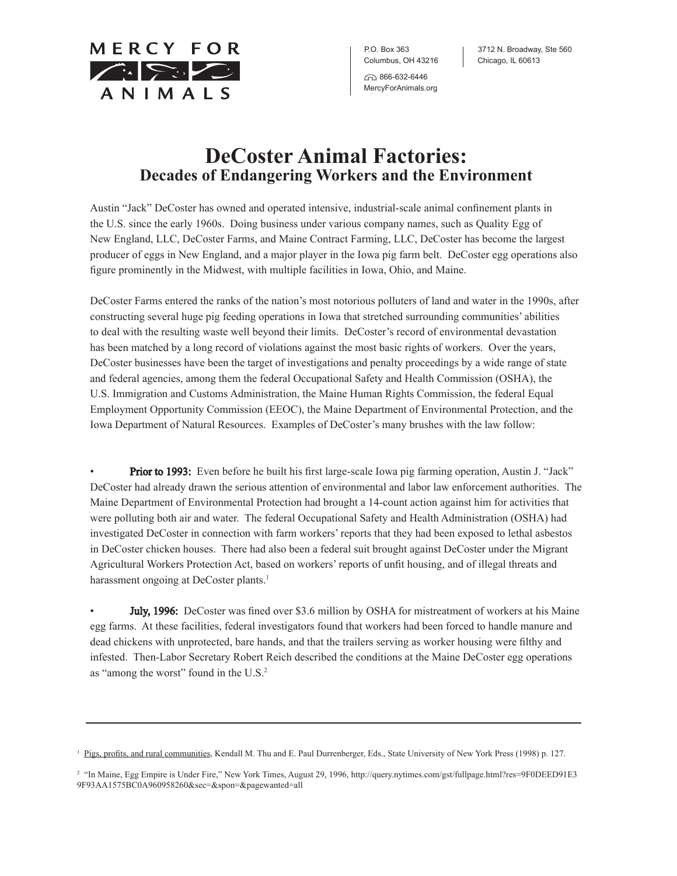MERCY FOR  $\sqrt{2\sqrt{2}}$ ANIMALS

P.O. Box 363 Columbus, OH 43216 632-6446

MercyForAnimals.org

3712 N. Broadway, Ste 560 Chicago, IL 60613

## **DeCoster Animal Factories: Decades of Endangering Workers and the Environment**

Austin "Jack" DeCoster has owned and operated intensive, industrial-scale animal confinement plants in the U.S. since the early 1960s. Doing business under various company names, such as Quality Egg of New England, LLC, DeCoster Farms, and Maine Contract Farming, LLC, DeCoster has become the largest producer of eggs in New England, and a major player in the Iowa pig farm belt. DeCoster egg operations also figure prominently in the Midwest, with multiple facilities in Iowa, Ohio, and Maine.

DeCoster Farms entered the ranks of the nation's most notorious polluters of land and water in the 1990s, after constructing several huge pig feeding operations in Iowa that stretched surrounding communities' abilities to deal with the resulting waste well beyond their limits. DeCoster's record of environmental devastation has been matched by a long record of violations against the most basic rights of workers. Over the years, DeCoster businesses have been the target of investigations and penalty proceedings by a wide range of state and federal agencies, among them the federal Occupational Safety and Health Commission (OSHA), the U.S. Immigration and Customs Administration, the Maine Human Rights Commission, the federal Equal Employment Opportunity Commission (EEOC), the Maine Department of Environmental Protection, and the Iowa Department of Natural Resources. Examples of DeCoster's many brushes with the law follow:

**Prior to 1993:** Even before he built his first large-scale Iowa pig farming operation, Austin J. "Jack" DeCoster had already drawn the serious attention of environmental and labor law enforcement authorities. The Maine Department of Environmental Protection had brought a 14-count action against him for activities that were polluting both air and water. The federal Occupational Safety and Health Administration (OSHA) had investigated DeCoster in connection with farm workers' reports that they had been exposed to lethal asbestos in DeCoster chicken houses. There had also been a federal suit brought against DeCoster under the Migrant Agricultural Workers Protection Act, based on workers' reports of unfit housing, and of illegal threats and harassment ongoing at DeCoster plants.<sup>1</sup>

**July, 1996:** DeCoster was fined over \$3.6 million by OSHA for mistreatment of workers at his Maine egg farms. At these facilities, federal investigators found that workers had been forced to handle manure and dead chickens with unprotected, bare hands, and that the trailers serving as worker housing were filthy and infested. Then-Labor Secretary Robert Reich described the conditions at the Maine DeCoster egg operations as "among the worst" found in the U.S.<sup>2</sup>

<sup>&</sup>lt;sup>1</sup> Pigs, profits, and rural communities, Kendall M. Thu and E. Paul Durrenberger, Eds., State University of New York Press (1998) p. 127.

<sup>&</sup>lt;sup>2</sup> "In Maine, Egg Empire is Under Fire," New York Times, August 29, 1996, http://query.nytimes.com/gst/fullpage.html?res=9F0DEED91E3 9F93AA1575BC0A960958260&sec=&spon=&pagewanted=all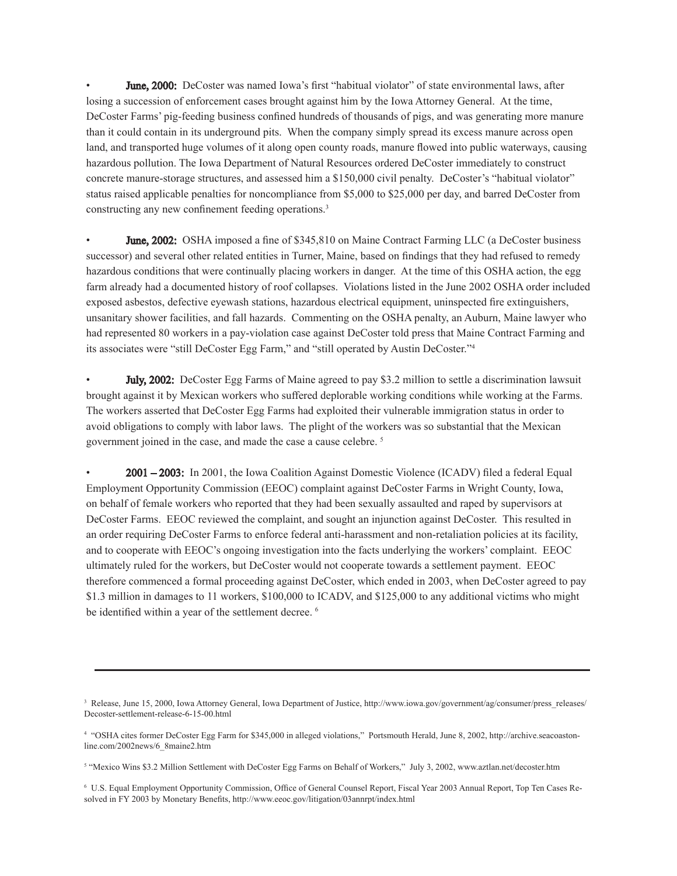June, 2000: DeCoster was named Iowa's first "habitual violator" of state environmental laws, after losing a succession of enforcement cases brought against him by the Iowa Attorney General. At the time, DeCoster Farms' pig-feeding business confined hundreds of thousands of pigs, and was generating more manure than it could contain in its underground pits. When the company simply spread its excess manure across open land, and transported huge volumes of it along open county roads, manure flowed into public waterways, causing hazardous pollution. The Iowa Department of Natural Resources ordered DeCoster immediately to construct concrete manure-storage structures, and assessed him a \$150,000 civil penalty. DeCoster's "habitual violator" status raised applicable penalties for noncompliance from \$5,000 to \$25,000 per day, and barred DeCoster from constructing any new confinement feeding operations.3

**June, 2002:** OSHA imposed a fine of \$345,810 on Maine Contract Farming LLC (a DeCoster business successor) and several other related entities in Turner, Maine, based on findings that they had refused to remedy hazardous conditions that were continually placing workers in danger. At the time of this OSHA action, the egg farm already had a documented history of roof collapses. Violations listed in the June 2002 OSHA order included exposed asbestos, defective eyewash stations, hazardous electrical equipment, uninspected fire extinguishers, unsanitary shower facilities, and fall hazards. Commenting on the OSHA penalty, an Auburn, Maine lawyer who had represented 80 workers in a pay-violation case against DeCoster told press that Maine Contract Farming and its associates were "still DeCoster Egg Farm," and "still operated by Austin DeCoster."<sup>4</sup>

**July, 2002:** DeCoster Egg Farms of Maine agreed to pay \$3.2 million to settle a discrimination lawsuit brought against it by Mexican workers who suffered deplorable working conditions while working at the Farms. The workers asserted that DeCoster Egg Farms had exploited their vulnerable immigration status in order to avoid obligations to comply with labor laws. The plight of the workers was so substantial that the Mexican government joined in the case, and made the case a cause celebre. <sup>5</sup>

• 2001 – 2003: In 2001, the Iowa Coalition Against Domestic Violence (ICADV) filed a federal Equal Employment Opportunity Commission (EEOC) complaint against DeCoster Farms in Wright County, Iowa, on behalf of female workers who reported that they had been sexually assaulted and raped by supervisors at DeCoster Farms. EEOC reviewed the complaint, and sought an injunction against DeCoster. This resulted in an order requiring DeCoster Farms to enforce federal anti-harassment and non-retaliation policies at its facility, and to cooperate with EEOC's ongoing investigation into the facts underlying the workers' complaint. EEOC ultimately ruled for the workers, but DeCoster would not cooperate towards a settlement payment. EEOC therefore commenced a formal proceeding against DeCoster, which ended in 2003, when DeCoster agreed to pay \$1.3 million in damages to 11 workers, \$100,000 to ICADV, and \$125,000 to any additional victims who might be identified within a year of the settlement decree.<sup>6</sup>

<sup>&</sup>lt;sup>3</sup> Release, June 15, 2000, Iowa Attorney General, Iowa Department of Justice, http://www.iowa.gov/government/ag/consumer/press\_releases/ Decoster-settlement-release-6-15-00.html

<sup>4</sup> "OSHA cites former DeCoster Egg Farm for \$345,000 in alleged violations," Portsmouth Herald, June 8, 2002, http://archive.seacoastonline.com/2002news/6\_8maine2.htm

<sup>&</sup>lt;sup>5</sup> "Mexico Wins \$3.2 Million Settlement with DeCoster Egg Farms on Behalf of Workers," July 3, 2002, www.aztlan.net/decoster.htm

<sup>6</sup> U.S. Equal Employment Opportunity Commission, Office of General Counsel Report, Fiscal Year 2003 Annual Report, Top Ten Cases Resolved in FY 2003 by Monetary Benefits, http://www.eeoc.gov/litigation/03annrpt/index.html